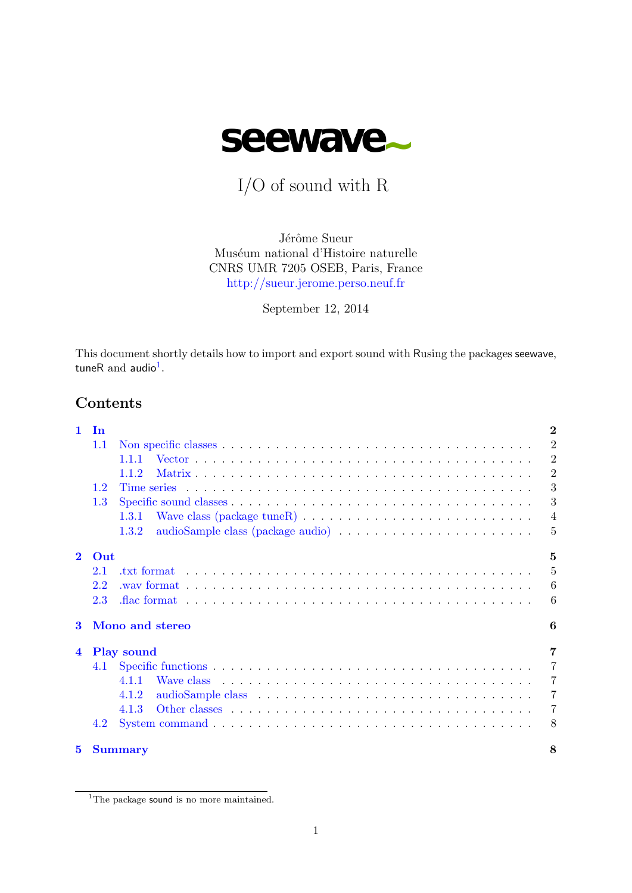

I/O of sound with R

Jérôme Sueur Muséum national d'Histoire naturelle CNRS UMR 7205 OSEB, Paris, France <http://sueur.jerome.perso.neuf.fr>

September 12, 2014

This document shortly details how to import and export sound with Rusing the packages seewave, tuneR and audio<sup>[1](#page-0-0)</sup>.

# Contents

| $\mathbf{1}$         | <b>In</b> |                                                                                                    | $\overline{2}$ |  |  |
|----------------------|-----------|----------------------------------------------------------------------------------------------------|----------------|--|--|
|                      | 1.1       |                                                                                                    | $\overline{2}$ |  |  |
|                      |           | 1.1.1                                                                                              | $\overline{2}$ |  |  |
|                      |           | 1.1.2                                                                                              | $\overline{2}$ |  |  |
|                      | 1.2       |                                                                                                    | 3              |  |  |
|                      | 1.3       |                                                                                                    | 3              |  |  |
|                      |           | Wave class (package tune R) $\dots \dots \dots \dots \dots \dots \dots \dots \dots \dots$<br>1.3.1 | $\overline{4}$ |  |  |
|                      |           | 1.3.2                                                                                              | 5              |  |  |
| $\mathbf{2}$         | Out       |                                                                                                    | $\overline{5}$ |  |  |
|                      | 2.1       |                                                                                                    | $\overline{5}$ |  |  |
|                      | 2.2       |                                                                                                    | 6              |  |  |
|                      | 2.3       |                                                                                                    | 6              |  |  |
| Mono and stereo<br>3 |           |                                                                                                    |                |  |  |
| $\overline{4}$       |           | <b>Play sound</b>                                                                                  | 7              |  |  |
|                      | 4.1       |                                                                                                    | $\overline{7}$ |  |  |
|                      |           | 4.1.1                                                                                              | $\overline{7}$ |  |  |
|                      |           | 4.1.2                                                                                              | $\overline{7}$ |  |  |
|                      |           | 4.1.3                                                                                              | $\overline{7}$ |  |  |
|                      | 4.2       |                                                                                                    | 8              |  |  |
| 5                    |           | <b>Summary</b>                                                                                     | 8              |  |  |

<span id="page-0-0"></span><sup>&</sup>lt;sup>1</sup>The package sound is no more maintained.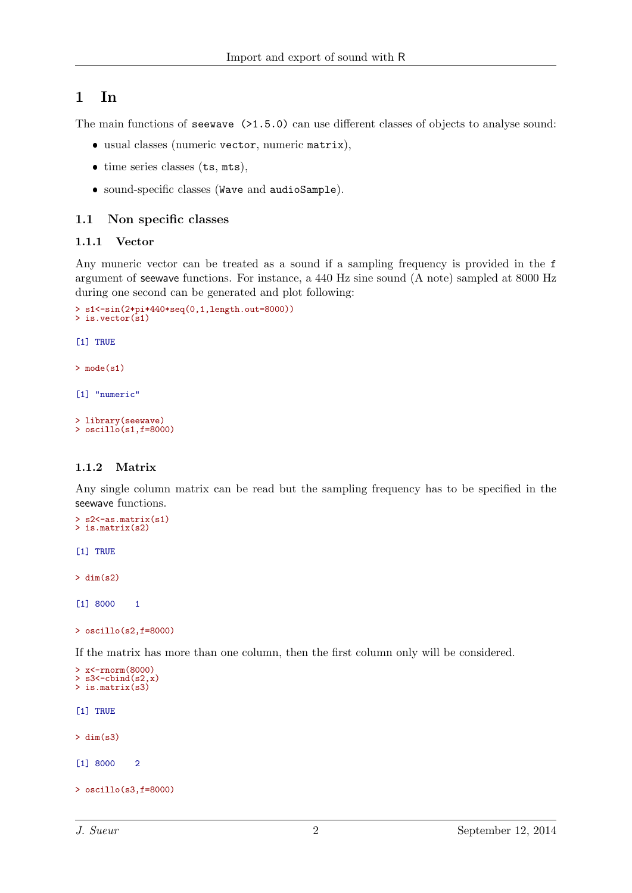# <span id="page-1-0"></span>1 In

The main functions of **seewave**  $(>1.5.0)$  can use different classes of objects to analyse sound:

- usual classes (numeric vector, numeric matrix),
- time series classes (ts, mts),
- sound-specific classes (Wave and audioSample).

### <span id="page-1-1"></span>1.1 Non specific classes

### <span id="page-1-2"></span>1.1.1 Vector

Any muneric vector can be treated as a sound if a sampling frequency is provided in the f argument of seewave functions. For instance, a 440 Hz sine sound (A note) sampled at 8000 Hz during one second can be generated and plot following:

```
> s1<-sin(2*pi*440*seq(0,1,length.out=8000))
> is. vector(s1)
[1] TRUE
> mode(s1)
[1] "numeric"
```

```
> library(seewave)
> oscillo(s1, f=8000)
```
## <span id="page-1-3"></span>1.1.2 Matrix

Any single column matrix can be read but the sampling frequency has to be specified in the seewave functions.

```
> s2<-as.matrix(s1)
> is.matrix(s2)
```
[1] TRUE

 $>$  dim(s2)

[1] 8000 1

> oscillo(s2,f=8000)

If the matrix has more than one column, then the first column only will be considered.

```
> x<-rnorm(8000)
> s3\leftarrowcbind(s2,x)
> is.matrix(s3)
[1] TRUE
> dim(s3)
[1] 8000 2
> oscillo(s3,f=8000)
```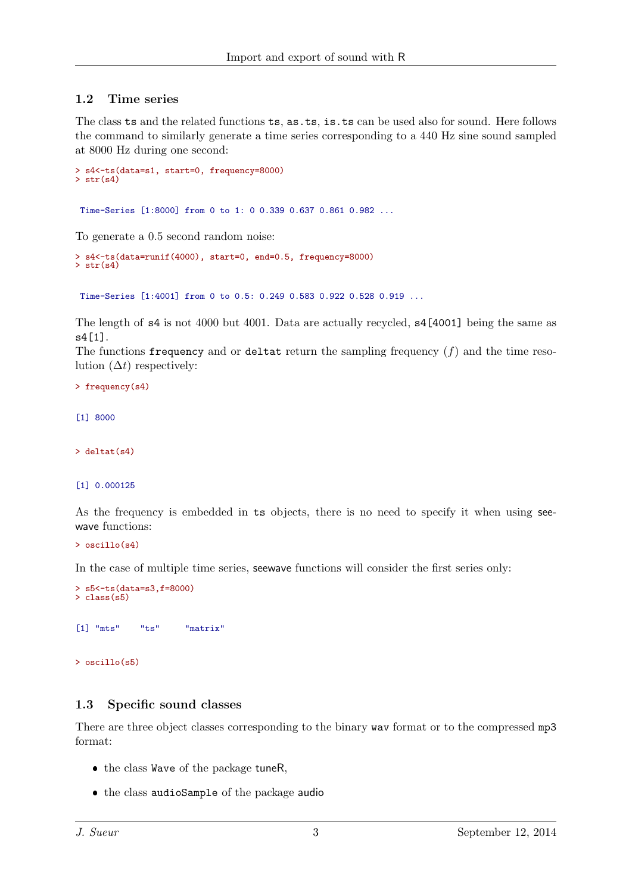## <span id="page-2-0"></span>1.2 Time series

The class ts and the related functions ts, as.ts, is.ts can be used also for sound. Here follows the command to similarly generate a time series corresponding to a 440 Hz sine sound sampled at 8000 Hz during one second:

```
> s4<-ts(data=s1, start=0, frequency=8000)
> str(s4)
```
Time-Series [1:8000] from 0 to 1: 0 0.339 0.637 0.861 0.982 ...

To generate a 0.5 second random noise:

```
> s4<-ts(data=runif(4000), start=0, end=0.5, frequency=8000)
> str(s4)
```
Time-Series [1:4001] from 0 to 0.5: 0.249 0.583 0.922 0.528 0.919 ...

The length of s4 is not 4000 but 4001. Data are actually recycled, s4[4001] being the same as s4[1].

The functions frequency and or deltat return the sampling frequency  $(f)$  and the time resolution  $(\Delta t)$  respectively:

> frequency(s4)

[1] 8000

 $\ge$  deltat $(s4)$ 

[1] 0.000125

As the frequency is embedded in ts objects, there is no need to specify it when using seewave functions:

 $>$  oscillo(s4)

In the case of multiple time series, seewave functions will consider the first series only:

```
> s5<-ts(data=s3,f=8000)
> class(s5)
```

```
[1] "mts" "ts" "matrix"
```
> oscillo(s5)

### <span id="page-2-1"></span>1.3 Specific sound classes

There are three object classes corresponding to the binary wav format or to the compressed mp3 format:

- $\bullet$  the class Wave of the package tuneR,
- the class audioSample of the package audio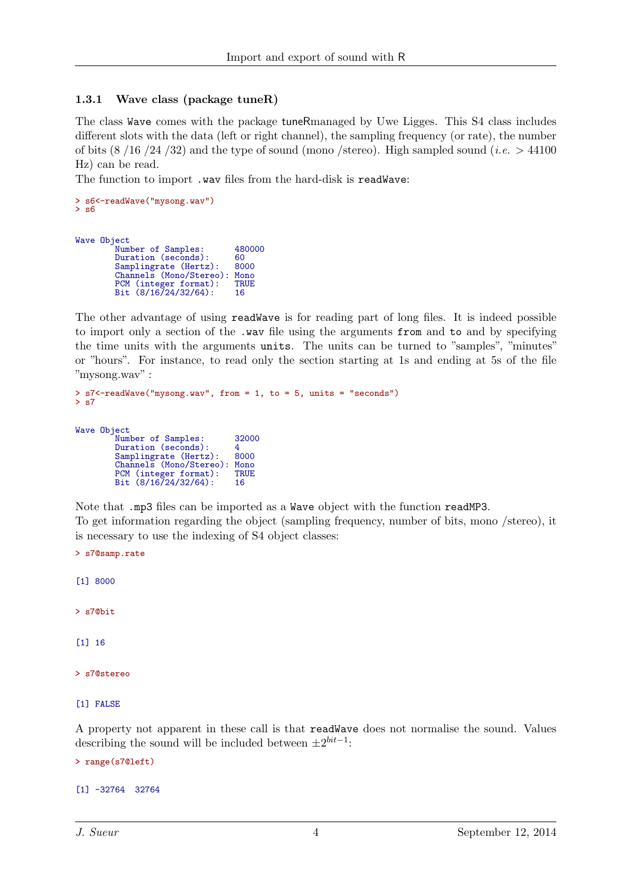## <span id="page-3-0"></span>1.3.1 Wave class (package tuneR)

The class Wave comes with the package tuneRmanaged by Uwe Ligges. This S4 class includes different slots with the data (left or right channel), the sampling frequency (or rate), the number of bits  $(8/16/24/32)$  and the type of sound (mono /stereo). High sampled sound (*i.e.*  $> 44100$ Hz) can be read.

The function to import .wav files from the hard-disk is readWave:

```
> s6<-readWave("mysong.wav")
> s6
```
Wave Object

PCM (integer format): TR<br>Bit  $(8/16/24/32/64)$ : 16 Bit  $(8/16/24/32/64)$ :

The other advantage of using readWave is for reading part of long files. It is indeed possible to import only a section of the .wav file using the arguments from and to and by specifying the time units with the arguments units. The units can be turned to "samples", "minutes" or "hours". For instance, to read only the section starting at 1s and ending at 5s of the file "mysong.wav" :

```
> s7<-readWave("mysong.wav", from = 1, to = 5, units = "seconds")
> s7
Wave Object
            Number of Samples: 32000
            Number of Bampies: 2200<br>Duration (seconds): 4<br>Samplingrate (Hertz): 8000
           Samplingrate (Hertz): 8000<br>Channels (Mono/Stereo): Mono
            Channels (Mono/Stereo): Mono<br>PCM (integer format): TRUE
```
Note that .mp3 files can be imported as a Wave object with the function readMP3. To get information regarding the object (sampling frequency, number of bits, mono /stereo), it is necessary to use the indexing of S4 object classes:

```
> s7@samp.rate
[1] 8000
> s7@bit
[1] 16
> s7@stereo
```

```
[1] FALSE
```
A property not apparent in these call is that readWave does not normalise the sound. Values describing the sound will be included between  $\pm 2^{bit-1}$ :

```
> range(s7@left)
```

```
[1] -32764 32764
```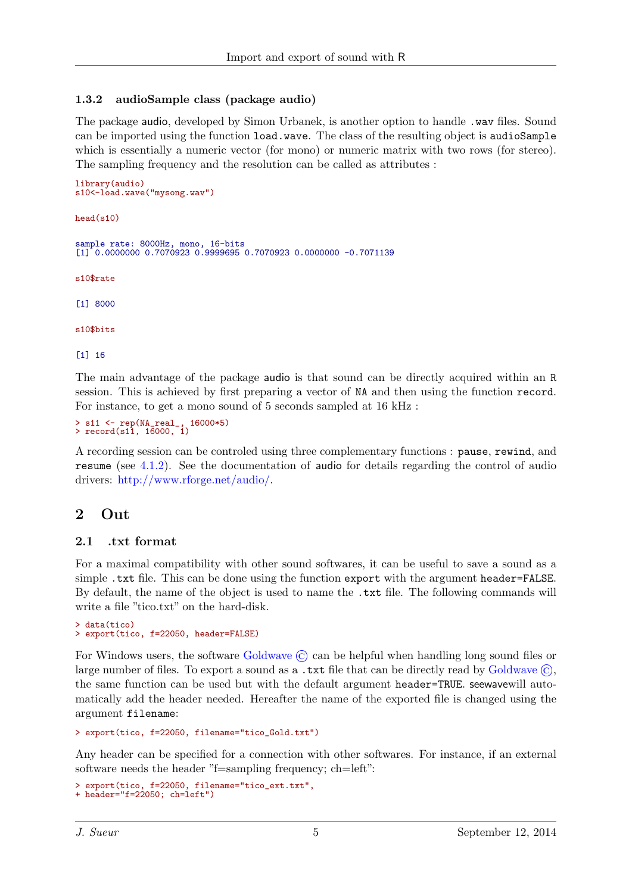## <span id="page-4-0"></span>1.3.2 audioSample class (package audio)

The package audio, developed by Simon Urbanek, is another option to handle .wav files. Sound can be imported using the function load.wave. The class of the resulting object is audioSample which is essentially a numeric vector (for mono) or numeric matrix with two rows (for stereo). The sampling frequency and the resolution can be called as attributes :

```
library(audio)
s10<-load.wave("mysong.wav")
head(s10)
sample rate: 8000Hz, mono, 16-bits
[1] 0.0000000 0.7070923 0.9999695 0.7070923 0.0000000 -0.7071139
s10$rate
[1] 8000
s10$bits
[1] 16
```
The main advantage of the package audio is that sound can be directly acquired within an R session. This is achieved by first preparing a vector of NA and then using the function record. For instance, to get a mono sound of 5 seconds sampled at 16 kHz :

```
> s11 <- rep(NA_real_, 16000*5)
> record(s11, 16000, 1)
```
A recording session can be controled using three complementary functions : pause, rewind, and resume (see [4.1.2\)](#page-6-3). See the documentation of audio for details regarding the control of audio drivers: [http://www.rforge.net/audio/.](http://www.rforge.net/audio/)

# <span id="page-4-1"></span>2 Out

## <span id="page-4-2"></span>2.1 .txt format

For a maximal compatibility with other sound softwares, it can be useful to save a sound as a simple .txt file. This can be done using the function export with the argument header=FALSE. By default, the name of the object is used to name the .txt file. The following commands will write a file "tico.txt" on the hard-disk.

```
> data(tico)
> export(tico, f=22050, header=FALSE)
```
For Windows users, the software [Goldwave](http://www.goldwave.com/)  $\odot$  can be helpful when handling long sound files or large number of files. To export a sound as a .txt file that can be directly read by  $Goldwave(\mathcal{C})$  $Goldwave(\mathcal{C})$ . the same function can be used but with the default argument header=TRUE. seewavewill automatically add the header needed. Hereafter the name of the exported file is changed using the argument filename:

> export(tico, f=22050, filename="tico\_Gold.txt")

Any header can be specified for a connection with other softwares. For instance, if an external software needs the header "f=sampling frequency; ch=left":

```
> export(tico, f=22050, filename="tico_ext.txt",
+ header="f=22050; ch=left")
```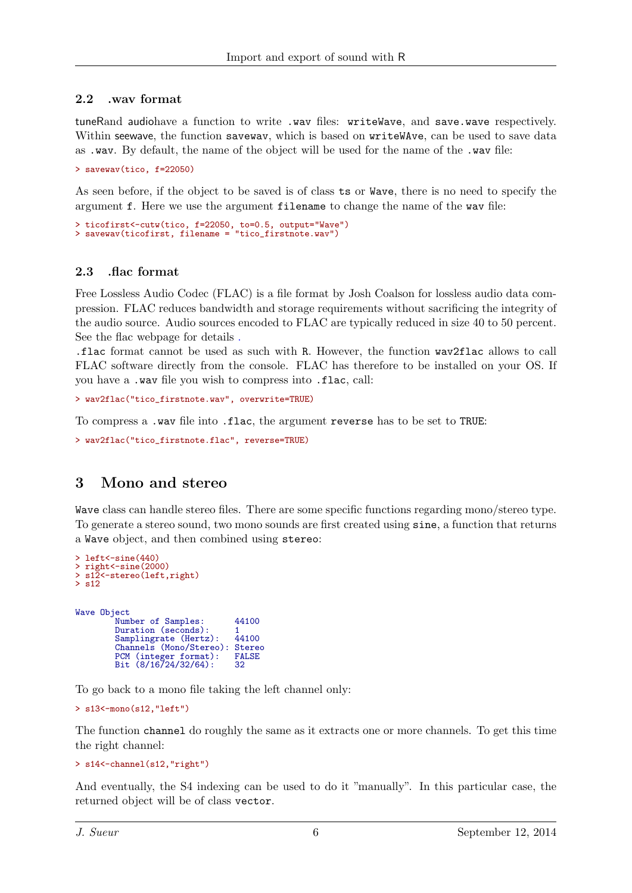## <span id="page-5-0"></span>2.2 .wav format

tuneRand audiohave a function to write .wav files: writeWave, and save.wave respectively. Within seewave, the function savewav, which is based on writeWAve, can be used to save data as .wav. By default, the name of the object will be used for the name of the .wav file:

> savewav(tico, f=22050)

As seen before, if the object to be saved is of class ts or Wave, there is no need to specify the argument f. Here we use the argument filename to change the name of the wav file:

```
> ticofirst<-cutw(tico, f=22050, to=0.5, output="Wave")
> savewav(ticofirst, filename = "tico_firstnote.wav")
```
## <span id="page-5-1"></span>2.3 .flac format

Free Lossless Audio Codec (FLAC) is a file format by Josh Coalson for lossless audio data compression. FLAC reduces bandwidth and storage requirements without sacrificing the integrity of the audio source. Audio sources encoded to FLAC are typically reduced in size 40 to 50 percent. See the flac webpage for details [.](http://flac.sourceforge.net/)

.flac format cannot be used as such with R. However, the function wav2flac allows to call FLAC software directly from the console. FLAC has therefore to be installed on your OS. If you have a .wav file you wish to compress into .flac, call:

```
> wav2flac("tico_firstnote.wav", overwrite=TRUE)
```
To compress a .wav file into .flac, the argument reverse has to be set to TRUE:

```
> wav2flac("tico_firstnote.flac", reverse=TRUE)
```
# <span id="page-5-2"></span>3 Mono and stereo

Wave class can handle stereo files. There are some specific functions regarding mono/stereo type. To generate a stereo sound, two mono sounds are first created using sine, a function that returns a Wave object, and then combined using stereo:

```
\geq left < - sine (440)
> right<-sine(2000)
> s12<-stereo(left,right)
> s12
Wave Object
            Number of Samples: 44100<br>Duration (seconds): 1
           Duration (seconds): 1<br>Samplingrate (Hertz): 44100
           Samplingrate (Hertz): 44100<br>Channels (Mono/Stereo): Stereo
           Channels (Mono/Stereo): Stereo<br>PCM (integer format): FALSE
            PCM (integer format): FALSE
            Bit (8/16/24/32/64): 32
```
To go back to a mono file taking the left channel only:

```
> s13<-mono(s12,"left")
```
The function channel do roughly the same as it extracts one or more channels. To get this time the right channel:

```
> s14<-channel(s12,"right")
```
And eventually, the S4 indexing can be used to do it "manually". In this particular case, the returned object will be of class vector.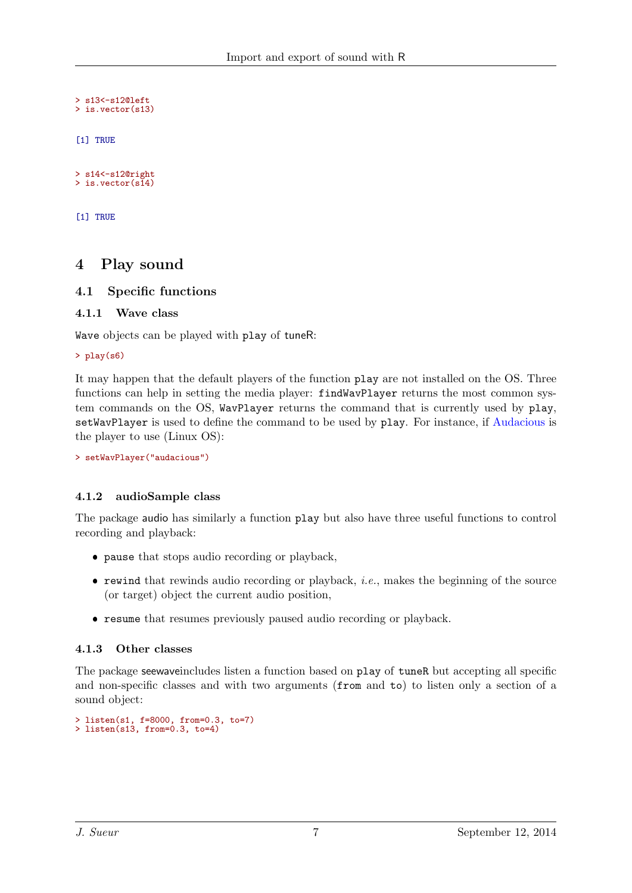```
> s13<-s12@left
> is.vector(s13)
[1] TRUE
```
> s14<-s12@right > is.vector(s14)

[1] TRUE

# <span id="page-6-0"></span>4 Play sound

## <span id="page-6-1"></span>4.1 Specific functions

### <span id="page-6-2"></span>4.1.1 Wave class

Wave objects can be played with play of tuneR:

#### > play(s6)

It may happen that the default players of the function play are not installed on the OS. Three functions can help in setting the media player: findWavPlayer returns the most common system commands on the OS, WavPlayer returns the command that is currently used by play, setWavPlayer is used to define the command to be used by play. For instance, if [Audacious](http://audacious-media-player.org) is the player to use (Linux OS):

```
> setWavPlayer("audacious")
```
### <span id="page-6-3"></span>4.1.2 audioSample class

The package audio has similarly a function play but also have three useful functions to control recording and playback:

- pause that stops audio recording or playback,
- $\bullet$  rewind that rewinds audio recording or playback, *i.e.*, makes the beginning of the source (or target) object the current audio position,
- resume that resumes previously paused audio recording or playback.

### <span id="page-6-4"></span>4.1.3 Other classes

The package seewaveincludes listen a function based on play of tuneR but accepting all specific and non-specific classes and with two arguments (from and to) to listen only a section of a sound object:

```
> listen(s1, f=8000, from=0.3, to=7)
> listen(s13, from=0.3, to=4)
```